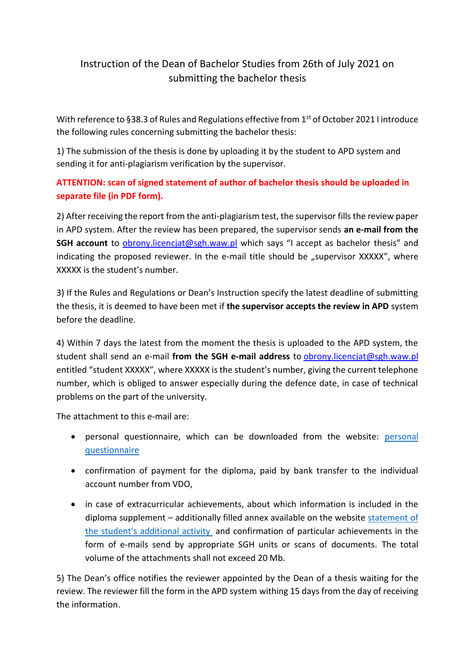## Instruction of the Dean of Bachelor Studies from 26th of July 2021 on submitting the bachelor thesis

With reference to §38.3 of Rules and Regulations effective from 1<sup>st</sup> of October 2021 I introduce the following rules concerning submitting the bachelor thesis:

1) The submission of the thesis is done by uploading it by the student to APD system and sending it for anti-plagiarism verification by the supervisor.

## **ATTENTION: scan of signed statement of author of bachelor thesis should be uploaded in separate file (in PDF form).**

2) After receiving the report from the anti-plagiarism test, the supervisor fills the review paper in APD system. After the review has been prepared, the supervisor sends **an e-mail from the SGH account** to *obrony.licencjat@sgh.waw.pl* which says "I accept as bachelor thesis" and indicating the proposed reviewer. In the e-mail title should be "supervisor XXXXX", where XXXXX is the student's number.

3) If the Rules and Regulations or Dean's Instruction specify the latest deadline of submitting the thesis, it is deemed to have been met if **the supervisor accepts the review in APD** system before the deadline.

4) Within 7 days the latest from the moment the thesis is uploaded to the APD system, the student shall send an e-mail **from the SGH e-mail address** to [obrony.licencjat@sgh.waw.pl](mailto:obrony.licencjat@sgh.waw.pl)  entitled "student XXXXX", where XXXXX is the student's number, giving the current telephone number, which is obliged to answer especially during the defence date, in case of technical problems on the part of the university.

The attachment to this e-mail are:

- personal questionnaire, which can be downloaded from the website: [personal](https://ssl-administracja.sgh.waw.pl/en/dsl/thesis/standard/Documents/Ankieta%202020%20ANG+o%C5%9Bwiadczenie.docx)  [questionnaire](https://ssl-administracja.sgh.waw.pl/en/dsl/thesis/standard/Documents/Ankieta%202020%20ANG+o%C5%9Bwiadczenie.docx)
- confirmation of payment for the diploma, paid by bank transfer to the individual account number from VDO,
- in case of extracurricular achievements, about which information is included in the diploma supplement – additionally filled annex available on the website [statement of](https://ssl-administracja.sgh.waw.pl/en/dsl/thesis/Documents/Dzia%C5%82alno%C5%9B%C4%87%20dodatkowa_ZR_11_24.02.2021_ANG_CWM.doc)  [the student's additional activity](https://ssl-administracja.sgh.waw.pl/en/dsl/thesis/Documents/Dzia%C5%82alno%C5%9B%C4%87%20dodatkowa_ZR_11_24.02.2021_ANG_CWM.doc) and confirmation of particular achievements in the form of e-mails send by appropriate SGH units or scans of documents. The total volume of the attachments shall not exceed 20 Mb.

5) The Dean's office notifies the reviewer appointed by the Dean of a thesis waiting for the review. The reviewer fill the form in the APD system withing 15 days from the day of receiving the information.